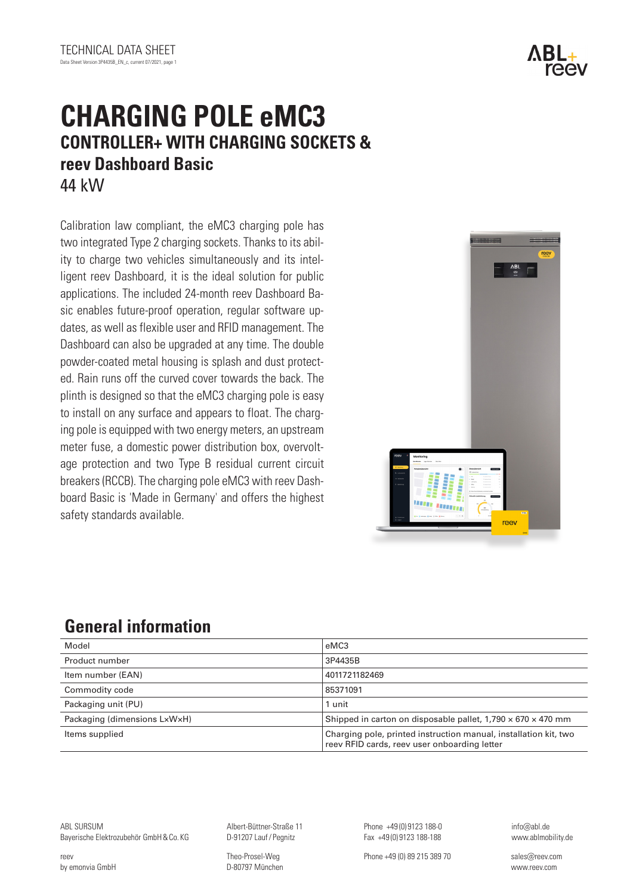# **CHARGING POLE eMC3 CONTROLLER+ WITH CHARGING SOCKETS & reev Dashboard Basic** 44 kW

Calibration law compliant, the eMC3 charging pole has two integrated Type 2 charging sockets. Thanks to its ability to charge two vehicles simultaneously and its intelligent reev Dashboard, it is the ideal solution for public applications. The included 24-month reev Dashboard Basic enables future-proof operation, regular software updates, as well as flexible user and RFID management. The Dashboard can also be upgraded at any time. The double powder-coated metal housing is splash and dust protected. Rain runs off the curved cover towards the back. The plinth is designed so that the eMC3 charging pole is easy to install on any surface and appears to float. The charging pole is equipped with two energy meters, an upstream meter fuse, a domestic power distribution box, overvoltage protection and two Type B residual current circuit breakers (RCCB). The charging pole eMC3 with reev Dashboard Basic is 'Made in Germany' and offers the highest safety standards available.

# ΛB ree

# **General information**

| Model                        | eMC3                                                                                                             |
|------------------------------|------------------------------------------------------------------------------------------------------------------|
| Product number               | 3P4435B                                                                                                          |
| Item number (EAN)            | 4011721182469                                                                                                    |
| Commodity code               | 85371091                                                                                                         |
| Packaging unit (PU)          | 1 unit                                                                                                           |
| Packaging (dimensions LxWxH) | Shipped in carton on disposable pallet, $1,790 \times 670 \times 470$ mm                                         |
| Items supplied               | Charging pole, printed instruction manual, installation kit, two<br>reev RFID cards, reev user onboarding letter |

ABL SURSUM Bayerische Elektrozubehör GmbH&Co. KG

reev by emonvia GmbH Albert-Büttner-Straße 11 D-91207 Lauf/ Pegnitz

Theo-Prosel-Weg D-80797 München

Phone +49 (0) 9123 188-0 Fax +49 (0) 9123 188-188

Phone +49 (0) 89 215 389 70 sales@reev.com

info@abl.de www.ablmobility.de



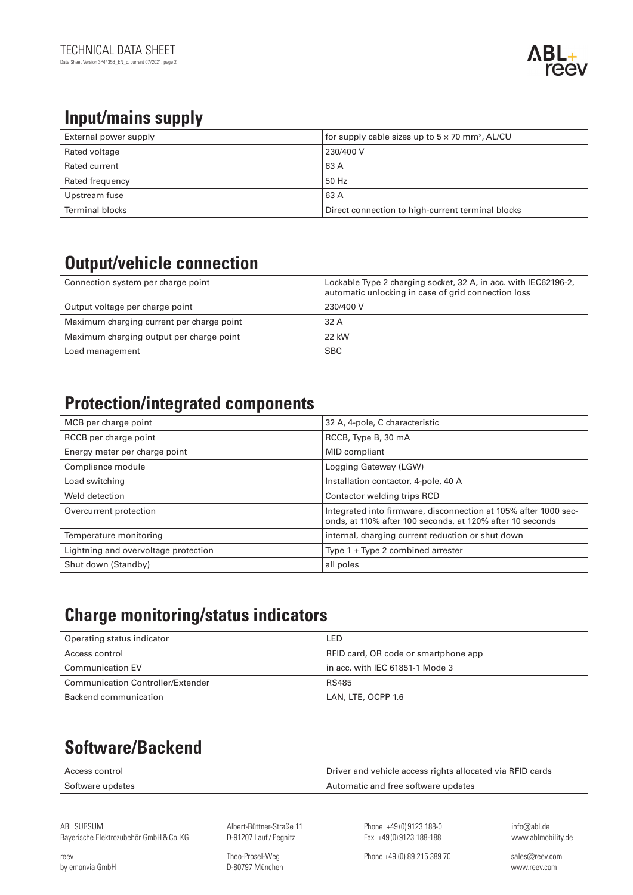# **Input/mains supply**

| External power supply | for supply cable sizes up to $5 \times 70$ mm <sup>2</sup> , AL/CU |
|-----------------------|--------------------------------------------------------------------|
| Rated voltage         | 230/400 V                                                          |
| Rated current         | 63 A                                                               |
| Rated frequency       | 50 Hz                                                              |
| Upstream fuse         | 63 A                                                               |
| Terminal blocks       | Direct connection to high-current terminal blocks                  |

# **Output/vehicle connection**

| Connection system per charge point        | Lockable Type 2 charging socket, 32 A, in acc. with IEC62196-2,<br>automatic unlocking in case of grid connection loss |
|-------------------------------------------|------------------------------------------------------------------------------------------------------------------------|
| Output voltage per charge point           | 230/400 V                                                                                                              |
| Maximum charging current per charge point | 32 A                                                                                                                   |
| Maximum charging output per charge point  | 22 kW                                                                                                                  |
| Load management                           | <b>SBC</b>                                                                                                             |

### **Protection/integrated components**

| MCB per charge point                 | 32 A, 4-pole, C characteristic                                                                                               |
|--------------------------------------|------------------------------------------------------------------------------------------------------------------------------|
| RCCB per charge point                | RCCB, Type B, 30 mA                                                                                                          |
| Energy meter per charge point        | <b>MID</b> compliant                                                                                                         |
| Compliance module                    | Logging Gateway (LGW)                                                                                                        |
| Load switching                       | Installation contactor, 4-pole, 40 A                                                                                         |
| Weld detection                       | Contactor welding trips RCD                                                                                                  |
| Overcurrent protection               | Integrated into firmware, disconnection at 105% after 1000 sec-<br>onds, at 110% after 100 seconds, at 120% after 10 seconds |
| Temperature monitoring               | internal, charging current reduction or shut down                                                                            |
| Lightning and overvoltage protection | Type $1 + Type 2$ combined arrester                                                                                          |
| Shut down (Standby)                  | all poles                                                                                                                    |

# **Charge monitoring/status indicators**

| Operating status indicator        | LED                                  |
|-----------------------------------|--------------------------------------|
| Access control                    | RFID card, QR code or smartphone app |
| <b>Communication EV</b>           | in acc. with IEC 61851-1 Mode 3      |
| Communication Controller/Extender | <b>RS485</b>                         |
| Backend communication             | LAN, LTE, OCPP 1.6                   |

# **Software/Backend**

| Access control   | Driver and vehicle access rights allocated via RFID cards |
|------------------|-----------------------------------------------------------|
| Software updates | Automatic and free software updates                       |

ABL SURSUM Bayerische Elektrozubehör GmbH&Co. KG Albert-Büttner-Straße 11 D-91207 Lauf/ Pegnitz

Phone +49 (0) 9123 188-0 Fax +49 (0) 9123 188-188

info@abl.de www.ablmobility.de

reev by emonvia GmbH Theo-Prosel-Weg D-80797 München Phone +49 (0) 89 215 389 70 sales@reev.com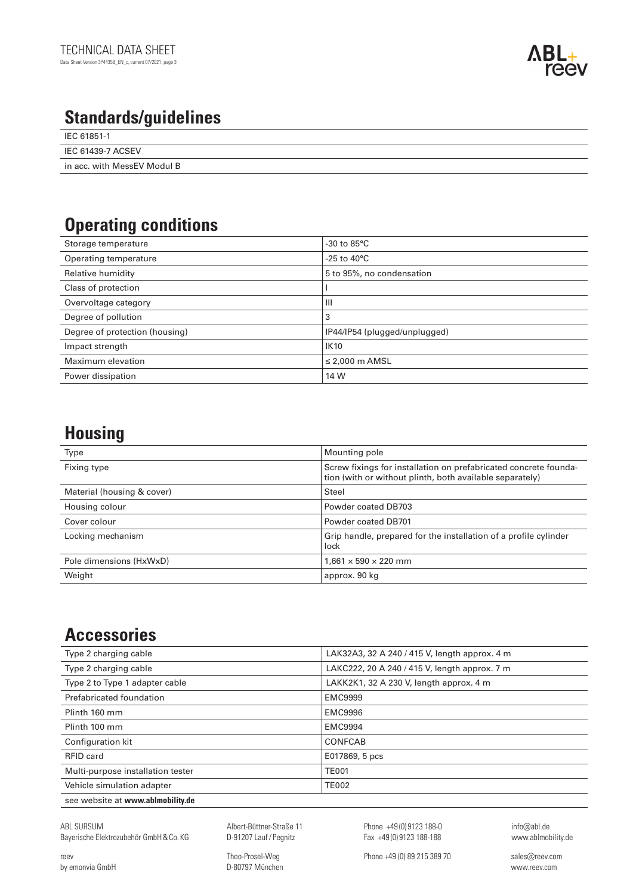

### **Standards/guidelines**

| ີ                           |
|-----------------------------|
| IEC 61851-1                 |
| IEC 61439-7 ACSEV           |
| in acc. with MessEV Modul B |

## **Operating conditions**

| Storage temperature            | $-30$ to $85^{\circ}$ C       |
|--------------------------------|-------------------------------|
| Operating temperature          | -25 to 40 $^{\circ}$ C        |
| Relative humidity              | 5 to 95%, no condensation     |
| Class of protection            |                               |
| Overvoltage category           | Ш                             |
| Degree of pollution            | 3                             |
| Degree of protection (housing) | IP44/IP54 (plugged/unplugged) |
| Impact strength                | <b>IK10</b>                   |
| Maximum elevation              | $\leq$ 2,000 m AMSL           |
| Power dissipation              | 14 W                          |

### **Housing**

| Type                       | Mounting pole                                                                                                                |
|----------------------------|------------------------------------------------------------------------------------------------------------------------------|
| Fixing type                | Screw fixings for installation on prefabricated concrete founda-<br>tion (with or without plinth, both available separately) |
| Material (housing & cover) | Steel                                                                                                                        |
| Housing colour             | Powder coated DB703                                                                                                          |
| Cover colour               | Powder coated DB701                                                                                                          |
| Locking mechanism          | Grip handle, prepared for the installation of a profile cylinder<br>lock                                                     |
| Pole dimensions (HxWxD)    | $1,661 \times 590 \times 220$ mm                                                                                             |
| Weight                     | approx. 90 kg                                                                                                                |

### **Accessories**

| Type 2 charging cable             | LAK32A3, 32 A 240 / 415 V, length approx. 4 m |
|-----------------------------------|-----------------------------------------------|
| Type 2 charging cable             | LAKC222, 20 A 240 / 415 V, length approx. 7 m |
| Type 2 to Type 1 adapter cable    | LAKK2K1, 32 A 230 V, length approx. 4 m       |
| Prefabricated foundation          | <b>EMC9999</b>                                |
| Plinth 160 mm                     | <b>EMC9996</b>                                |
| Plinth 100 mm                     | <b>EMC9994</b>                                |
| Configuration kit                 | <b>CONFCAB</b>                                |
| RFID card                         | E017869, 5 pcs                                |
| Multi-purpose installation tester | <b>TE001</b>                                  |
| Vehicle simulation adapter        | <b>TE002</b>                                  |
| see website at www.ablmobility.de |                                               |
|                                   |                                               |

ABL SURSUM Bayerische Elektrozubehör GmbH&Co. KG

reev by emonvia GmbH Albert-Büttner-Straße 11 D-91207 Lauf/ Pegnitz

Theo-Prosel-Weg D-80797 München Phone +49 (0) 9123 188-0 Fax +49 (0) 9123 188-188

info@abl.de www.ablmobility.de

Phone +49 (0) 89 215 389 70 sales@reev.com